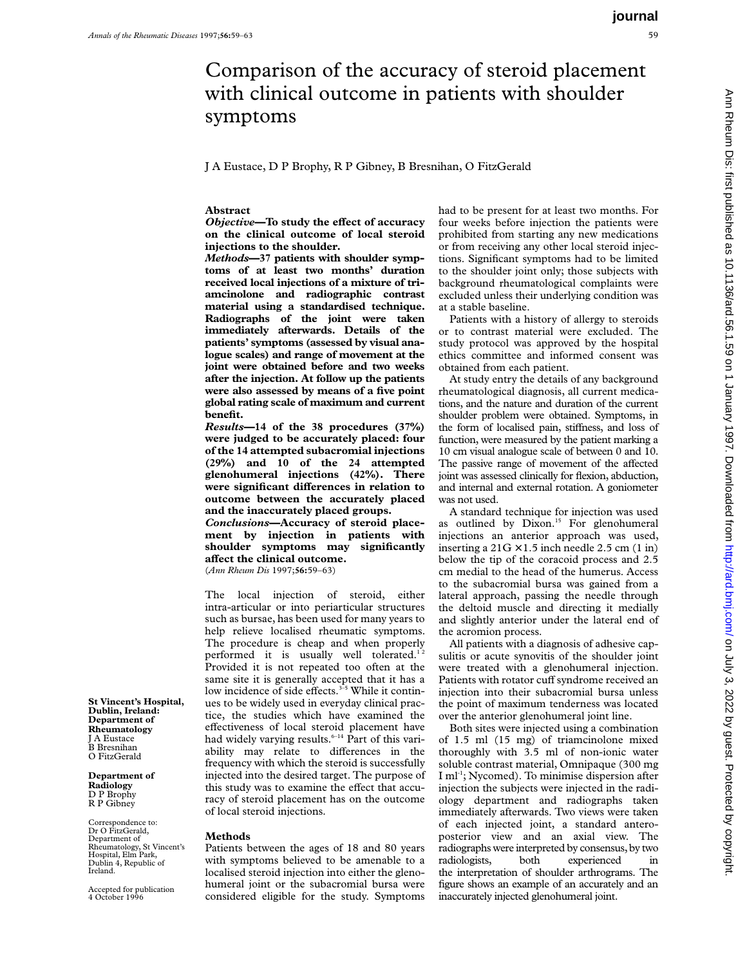# Comparison of the accuracy of steroid placement with clinical outcome in patients with shoulder symptoms

## **Abstract**

*Objective***—To study the effect of accuracy on the clinical outcome of local steroid injections to the shoulder.**

*Methods***—37 patients with shoulder symptoms of at least two months' duration received local injections of a mixture of triamcinolone and radiographic contrast material using a standardised technique. Radiographs of the joint were taken immediately afterwards. Details of the patients' symptoms (assessed by visual analogue scales) and range of movement at the joint were obtained before and two weeks after the injection. At follow up the patients were also assessed by means of a five point global rating scale of maximum and current benefit.**

*Results***—14 of the 38 procedures (37%) were judged to be accurately placed: four of the 14 attempted subacromial injections (29%) and 10 of the 24 attempted glenohumeral injections (42%). There** were significant differences in relation to **outcome between the accurately placed and the inaccurately placed groups.**

*Conclusions***—Accuracy of steroid placement by injection in patients with shoulder symptoms may significantly aVect the clinical outcome.** (*Ann Rheum Dis* 1997;**56:**59–63)

The local injection of steroid, either intra-articular or into periarticular structures such as bursae, has been used for many years to help relieve localised rheumatic symptoms. The procedure is cheap and when properly performed it is usually well tolerated.<sup>12</sup> Provided it is not repeated too often at the same site it is generally accepted that it has a low incidence of side effects.<sup>3-5</sup> While it continues to be widely used in everyday clinical practice, the studies which have examined the effectiveness of local steroid placement have had widely varying results.<sup>6-14</sup> Part of this variability may relate to differences in the frequency with which the steroid is successfully injected into the desired target. The purpose of this study was to examine the effect that accuracy of steroid placement has on the outcome

## **Methods**

of local steroid injections.

Patients between the ages of 18 and 80 years with symptoms believed to be amenable to a localised steroid injection into either the glenohumeral joint or the subacromial bursa were considered eligible for the study. Symptoms

had to be present for at least two months. For four weeks before injection the patients were prohibited from starting any new medications or from receiving any other local steroid injections. Significant symptoms had to be limited to the shoulder joint only; those subjects with background rheumatological complaints were excluded unless their underlying condition was at a stable baseline.

Patients with a history of allergy to steroids or to contrast material were excluded. The study protocol was approved by the hospital ethics committee and informed consent was obtained from each patient.

At study entry the details of any background rheumatological diagnosis, all current medications, and the nature and duration of the current shoulder problem were obtained. Symptoms, in the form of localised pain, stiffness, and loss of function, were measured by the patient marking a 10 cm visual analogue scale of between 0 and 10. The passive range of movement of the affected joint was assessed clinically for flexion, abduction, and internal and external rotation. A goniometer was not used.

A standard technique for injection was used as outlined by Dixon.<sup>15</sup> For glenohumeral injections an anterior approach was used, inserting a  $21G \times 1.5$  inch needle 2.5 cm (1 in) below the tip of the coracoid process and 2.5 cm medial to the head of the humerus. Access to the subacromial bursa was gained from a lateral approach, passing the needle through the deltoid muscle and directing it medially and slightly anterior under the lateral end of the acromion process.

All patients with a diagnosis of adhesive capsulitis or acute synovitis of the shoulder joint were treated with a glenohumeral injection. Patients with rotator cuff syndrome received an injection into their subacromial bursa unless the point of maximum tenderness was located over the anterior glenohumeral joint line.

Both sites were injected using a combination of 1.5 ml (15 mg) of triamcinolone mixed thoroughly with 3.5 ml of non-ionic water soluble contrast material, Omnipaque (300 mg I ml-1; Nycomed). To minimise dispersion after injection the subjects were injected in the radiology department and radiographs taken immediately afterwards. Two views were taken of each injected joint, a standard anteroposterior view and an axial view. The radiographs were interpreted by consensus, by two radiologists, both experienced in the interpretation of shoulder arthrograms. The figure shows an example of an accurately and an inaccurately injected glenohumeral joint.

**St Vincent's Hospital, Dublin, Ireland: Department of Rheumatology** J A Eustace B Bresnihan O FitzGerald

**Department of Radiology** D P Brophy R P Gibney

Correspondence to: Dr O FitzGerald, Department of Rheumatology, St Vincent's Hospital, Elm Park, Dublin 4, Republic of Ireland.

Accepted for publication 4 October 1996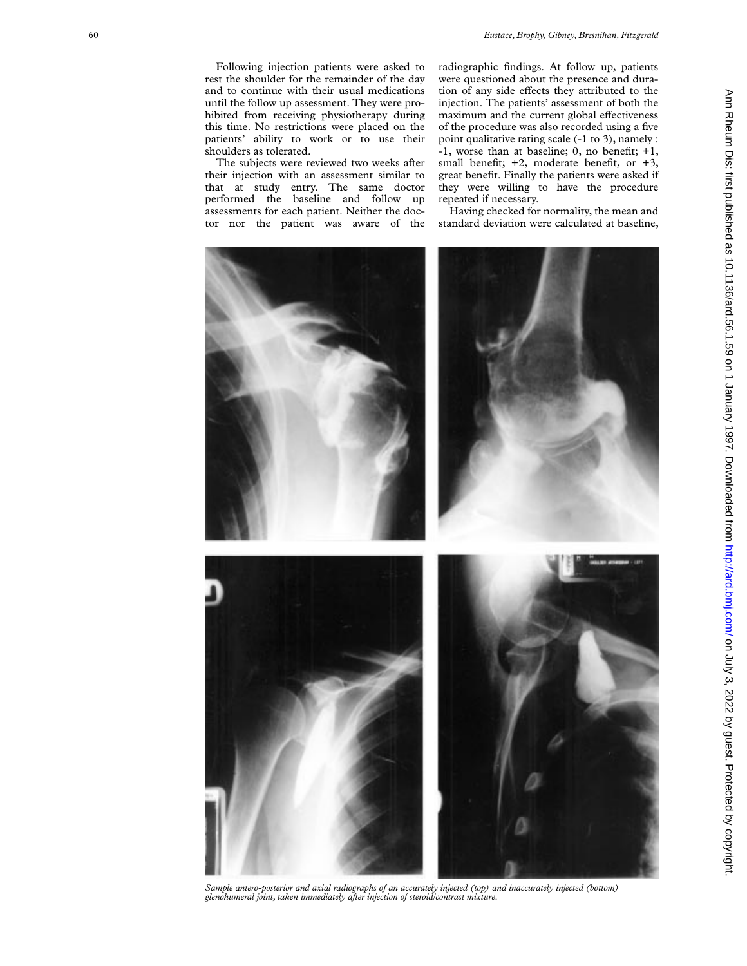Following injection patients were asked to rest the shoulder for the remainder of the day and to continue with their usual medications until the follow up assessment. They were prohibited from receiving physiotherapy during this time. No restrictions were placed on the patients' ability to work or to use their shoulders as tolerated.

The subjects were reviewed two weeks after their injection with an assessment similar to that at study entry. The same doctor performed the baseline and follow up assessments for each patient. Neither the doctor nor the patient was aware of the

radiographic findings. At follow up, patients were questioned about the presence and duration of any side effects they attributed to the injection. The patients' assessment of both the maximum and the current global effectiveness of the procedure was also recorded using a five point qualitative rating scale (-1 to 3), namely : -1, worse than at baseline; 0, no benefit; +1, small benefit;  $+2$ , moderate benefit, or  $+3$ , great benefit. Finally the patients were asked if they were willing to have the procedure repeated if necessary.

Having checked for normality, the mean and standard deviation were calculated at baseline,



*Sample antero-posterior and axial radiographs of an accurately injected (top) and inaccurately injected (bottom) glenohumeral joint, taken immediately after injection of steroid/contrast mixture.*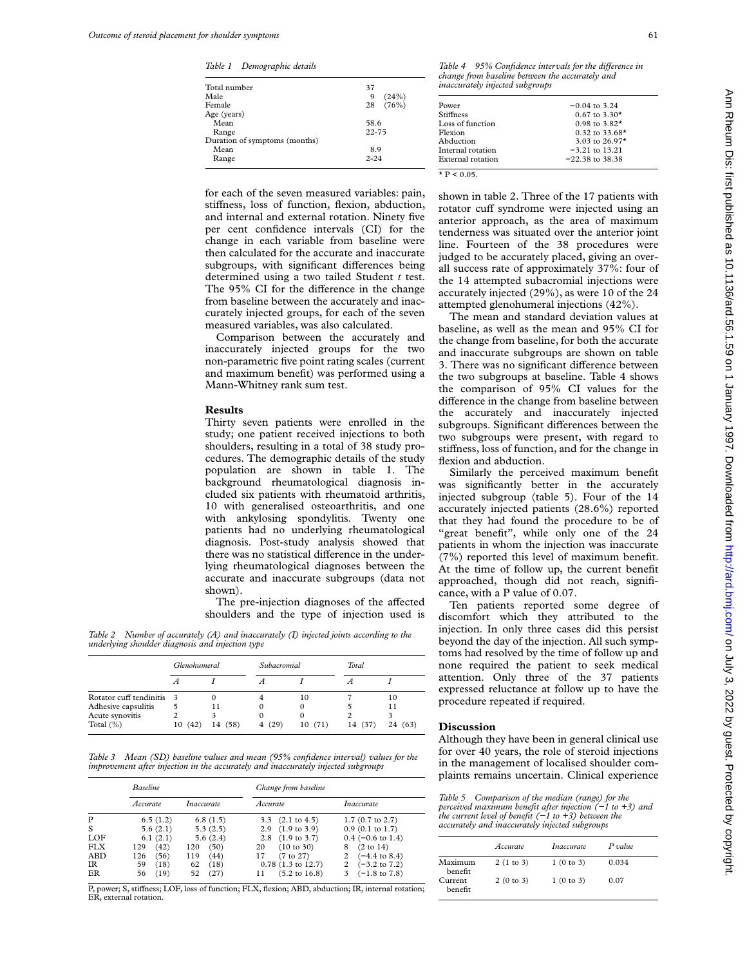*Table 1 Demographic details*

| Total number                  | 37          |
|-------------------------------|-------------|
| Male                          | (24%)<br>9  |
| Female                        | (76%)<br>28 |
| Age (years)                   |             |
| Mean                          | 58.6        |
| Range                         | $22 - 75$   |
| Duration of symptoms (months) |             |
| Mean                          | 8.9         |
| Range                         | $2 - 24$    |

for each of the seven measured variables: pain, stiffness, loss of function, flexion, abduction, and internal and external rotation. Ninety five per cent confidence intervals (CI) for the change in each variable from baseline were then calculated for the accurate and inaccurate subgroups, with significant differences being determined using a two tailed Student *t* test. The 95% CI for the difference in the change from baseline between the accurately and inaccurately injected groups, for each of the seven measured variables, was also calculated.

Comparison between the accurately and inaccurately injected groups for the two non-parametric five point rating scales (current and maximum benefit) was performed using a Mann-Whitney rank sum test.

### **Results**

Thirty seven patients were enrolled in the study; one patient received injections to both shoulders, resulting in a total of 38 study procedures. The demographic details of the study population are shown in table 1. The background rheumatological diagnosis included six patients with rheumatoid arthritis, 10 with generalised osteoarthritis, and one with ankylosing spondylitis. Twenty one patients had no underlying rheumatological diagnosis. Post-study analysis showed that there was no statistical difference in the underlying rheumatological diagnoses between the accurate and inaccurate subgroups (data not shown).

The pre-injection diagnoses of the affected shoulders and the type of injection used is

*Table 2 Number of accurately (A) and inaccurately (I) injected joints according to the underlying shoulder diagnosis and injection type*

|                                                | Glenohumeral |         | Subacromial |         | <b>Total</b> |         |
|------------------------------------------------|--------------|---------|-------------|---------|--------------|---------|
|                                                |              |         |             |         |              |         |
| Rotator cuff tendinitis<br>Adhesive capsulitis | -3           | O       |             | 10<br>O |              | 10      |
| Acute synovitis<br>Total $(\% )$               | 10(42)       | 14 (58) | 4(29)       | 10(71)  | 14 (37)      | 24 (63) |

*Table 3 Mean (SD) baseline values and mean (95% confidence interval) values for the improvement after injection in the accurately and inaccurately injected subgroups*

| <b>Baseline</b> |             | Change from baseline |                                |                               |
|-----------------|-------------|----------------------|--------------------------------|-------------------------------|
|                 | Accurate    | <i>Inaccurate</i>    | Accurate                       | <i>Inaccurate</i>             |
| P               | 6.5(1.2)    | 6.8(1.5)             | 3.3 $(2.1 \text{ to } 4.5)$    | $1.7(0.7 \text{ to } 2.7)$    |
| S               | 5.6(2.1)    | 5.3(2.5)             | 2.9 $(1.9 \text{ to } 3.9)$    | $0.9$ (0.1 to 1.7)            |
| LOF             | 6.1(2.1)    | 5.6(2.4)             | $(1.9 \text{ to } 3.7)$<br>2.8 | $0.4$ (-0.6 to 1.4)           |
| <b>FLX</b>      | (42)<br>129 | (50)<br>120          | $(10 \text{ to } 30)$<br>20    | $(2 \text{ to } 14)$<br>8     |
| ABD             | (56)<br>126 | (44)<br>119          | $(7 \text{ to } 27)$<br>17     | $(-4.4 \text{ to } 8.4)$<br>2 |
| IR              | (18)<br>59  | (18)<br>62           | $0.78$ (1.3 to 12.7)           | $(-3.2 \text{ to } 7.2)$<br>2 |
| ER              | (19)<br>56  | (27)<br>52           | $(5.2 \text{ to } 16.8)$       | $(-1.8 \text{ to } 7.8)$<br>3 |

 $\overline{P}$ , power; S, stiffness; LOF, loss of function; FLX, flexion; ABD, abduction; IR, internal rotation; ER, external rotation.

*Table 4* 95% Confidence intervals for the difference in *change from baseline between the accurately and inaccurately injected subgroups*

| Power             | $-0.04$ to 3.24             |
|-------------------|-----------------------------|
| Stiffness         | $0.67$ to 3.30*             |
| Loss of function  | $0.98$ to 3.82 <sup>*</sup> |
| Flexion           | $0.32$ to 33.68*            |
| Abduction         | 3.03 to $26.97*$            |
| Internal rotation | $-3.21$ to 13.21            |
| External rotation | $-22.38$ to 38.38           |
| $*$ P < 0.05.     |                             |

shown in table 2. Three of the 17 patients with rotator cuff syndrome were injected using an anterior approach, as the area of maximum tenderness was situated over the anterior joint line. Fourteen of the 38 procedures were judged to be accurately placed, giving an overall success rate of approximately 37%: four of the 14 attempted subacromial injections were accurately injected (29%), as were 10 of the 24 attempted glenohumeral injections (42%).

The mean and standard deviation values at baseline, as well as the mean and 95% CI for the change from baseline, for both the accurate and inaccurate subgroups are shown on table 3. There was no significant difference between the two subgroups at baseline. Table 4 shows the comparison of 95% CI values for the difference in the change from baseline between the accurately and inaccurately injected subgroups. Significant differences between the two subgroups were present, with regard to stiffness, loss of function, and for the change in flexion and abduction.

Similarly the perceived maximum benefit was significantly better in the accurately injected subgroup (table 5). Four of the 14 accurately injected patients (28.6%) reported that they had found the procedure to be of "great benefit", while only one of the 24 patients in whom the injection was inaccurate (7%) reported this level of maximum benefit. At the time of follow up, the current benefit approached, though did not reach, significance, with a P value of 0.07.

Ten patients reported some degree of discomfort which they attributed to the injection. In only three cases did this persist beyond the day of the injection. All such symptoms had resolved by the time of follow up and none required the patient to seek medical attention. Only three of the 37 patients expressed reluctance at follow up to have the procedure repeated if required.

### **Discussion**

Although they have been in general clinical use for over 40 years, the role of steroid injections in the management of localised shoulder complaints remains uncertain. Clinical experience

*Table 5 Comparison of the median (range) for the perceived maximum benefit after injection (−1 to +3) and the current level of benefit (−1 to +3) between the accurately and inaccurately injected subgroups*

|                    | Accurate  | <i>Inaccurate</i> | P value |
|--------------------|-----------|-------------------|---------|
| Maximum<br>benefit | 2(1 to 3) | 1(0 to 3)         | 0.034   |
| Current<br>henefit | 2(0 to 3) | 1(0 to 3)         | 0.07    |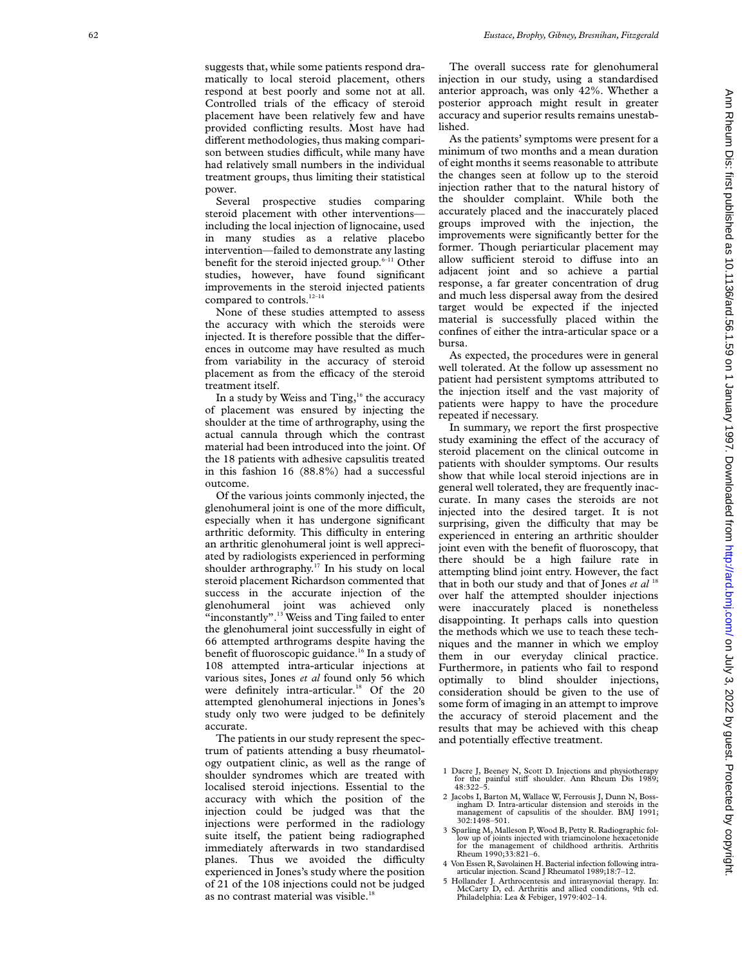suggests that, while some patients respond dramatically to local steroid placement, others respond at best poorly and some not at all. Controlled trials of the efficacy of steroid placement have been relatively few and have provided conflicting results. Most have had different methodologies, thus making comparison between studies difficult, while many have had relatively small numbers in the individual treatment groups, thus limiting their statistical power.

Several prospective studies comparing steroid placement with other interventions including the local injection of lignocaine, used in many studies as a relative placebo intervention—failed to demonstrate any lasting benefit for the steroid injected group.<sup>6-11</sup> Other studies, however, have found significant improvements in the steroid injected patients compared to controls.<sup>12-14</sup>

None of these studies attempted to assess the accuracy with which the steroids were injected. It is therefore possible that the differences in outcome may have resulted as much from variability in the accuracy of steroid placement as from the efficacy of the steroid treatment itself.

In a study by Weiss and  $Ting$ ,<sup>16</sup> the accuracy of placement was ensured by injecting the shoulder at the time of arthrography, using the actual cannula through which the contrast material had been introduced into the joint. Of the 18 patients with adhesive capsulitis treated in this fashion 16 (88.8%) had a successful outcome.

Of the various joints commonly injected, the glenohumeral joint is one of the more difficult, especially when it has undergone significant arthritic deformity. This difficulty in entering an arthritic glenohumeral joint is well appreciated by radiologists experienced in performing shoulder arthrography.17 In his study on local steroid placement Richardson commented that success in the accurate injection of the glenohumeral joint was achieved only "inconstantly".<sup>13</sup> Weiss and Ting failed to enter the glenohumeral joint successfully in eight of 66 attempted arthrograms despite having the benefit of fluoroscopic guidance.<sup>16</sup> In a study of 108 attempted intra-articular injections at various sites, Jones *et al* found only 56 which were definitely intra-articular.<sup>18</sup> Of the 20 attempted glenohumeral injections in Jones's study only two were judged to be definitely accurate.

The patients in our study represent the spectrum of patients attending a busy rheumatology outpatient clinic, as well as the range of shoulder syndromes which are treated with localised steroid injections. Essential to the accuracy with which the position of the injection could be judged was that the injections were performed in the radiology suite itself, the patient being radiographed immediately afterwards in two standardised planes. Thus we avoided the difficulty experienced in Jones's study where the position of 21 of the 108 injections could not be judged as no contrast material was visible. $1$ <sup>1</sup>

The overall success rate for glenohumeral injection in our study, using a standardised anterior approach, was only 42%. Whether a posterior approach might result in greater accuracy and superior results remains unestablished.

As the patients' symptoms were present for a minimum of two months and a mean duration of eight months it seems reasonable to attribute the changes seen at follow up to the steroid injection rather that to the natural history of the shoulder complaint. While both the accurately placed and the inaccurately placed groups improved with the injection, the improvements were significantly better for the former. Though periarticular placement may allow sufficient steroid to diffuse into an adjacent joint and so achieve a partial response, a far greater concentration of drug and much less dispersal away from the desired target would be expected if the injected material is successfully placed within the confines of either the intra-articular space or a bursa.

As expected, the procedures were in general well tolerated. At the follow up assessment no patient had persistent symptoms attributed to the injection itself and the vast majority of patients were happy to have the procedure repeated if necessary.

In summary, we report the first prospective study examining the effect of the accuracy of steroid placement on the clinical outcome in patients with shoulder symptoms. Our results show that while local steroid injections are in general well tolerated, they are frequently inaccurate. In many cases the steroids are not injected into the desired target. It is not surprising, given the difficulty that may be experienced in entering an arthritic shoulder joint even with the benefit of fluoroscopy, that there should be a high failure rate in attempting blind joint entry. However, the fact that in both our study and that of Jones *et al* <sup>18</sup> over half the attempted shoulder injections were inaccurately placed is nonetheless disappointing. It perhaps calls into question the methods which we use to teach these techniques and the manner in which we employ them in our everyday clinical practice. Furthermore, in patients who fail to respond optimally to blind shoulder injections, consideration should be given to the use of some form of imaging in an attempt to improve the accuracy of steroid placement and the results that may be achieved with this cheap and potentially effective treatment.

- 1 Dacre J, Beeney N, Scott D. Injections and physiotherapy for the painful stiff shoulder. Ann Rheum Dis 1989;<br>48:322-5.
- 2 Jacobs I, Barton M, Wallace W, Ferrousis J, Dunn N, Bossingham D. Intra-articular distension and steroids management of capsulitis of the shoulder. BMJ 1991; 302:1498–501.
- 3 Sparling M, Malleson P, Wood B, Petty R. Radiographic follow up of joints injected with triamcinolone hexacetonide for the management of childhood arthritis. Arthritis Rheum 1990;33:821–6.
- 4 Von Essen R, Savolainen H. Bacterial infection following intraarticular injection. Scand J Rheumatol 1989;18:7–12.
- 5 Hollander J. Arthrocentesis and intrasynovial therapy. In: McCarty D, ed. Arthritis and allied conditions, 9th ed. Philadelphia: Lea & Febiger, 1979:402–14.